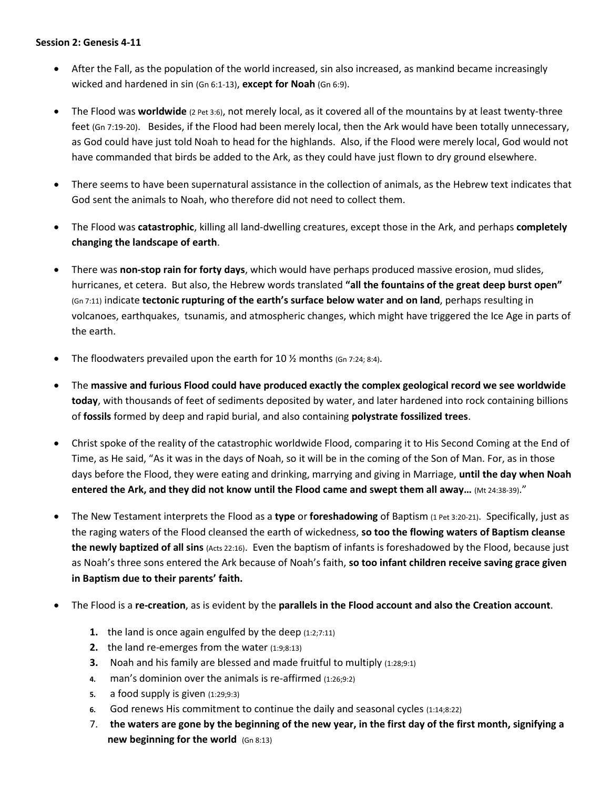## **Session 2: Genesis 4-11**

- After the Fall, as the population of the world increased, sin also increased, as mankind became increasingly wicked and hardened in sin (Gn 6:1-13), **except for Noah** (Gn 6:9).
- The Flood was **worldwide** (2 Pet 3:6), not merely local, as it covered all of the mountains by at least twenty-three feet (Gn 7:19-20). Besides, if the Flood had been merely local, then the Ark would have been totally unnecessary, as God could have just told Noah to head for the highlands. Also, if the Flood were merely local, God would not have commanded that birds be added to the Ark, as they could have just flown to dry ground elsewhere.
- There seems to have been supernatural assistance in the collection of animals, as the Hebrew text indicates that God sent the animals to Noah, who therefore did not need to collect them.
- The Flood was **catastrophic**, killing all land-dwelling creatures, except those in the Ark, and perhaps **completely changing the landscape of earth**.
- There was **non-stop rain for forty days**, which would have perhaps produced massive erosion, mud slides, hurricanes, et cetera. But also, the Hebrew words translated **"all the fountains of the great deep burst open"**  (Gn 7:11) indicate **tectonic rupturing of the earth's surface below water and on land**, perhaps resulting in volcanoes, earthquakes, tsunamis, and atmospheric changes, which might have triggered the Ice Age in parts of the earth.
- The floodwaters prevailed upon the earth for 10  $\frac{1}{2}$  months (Gn 7:24; 8:4).
- The **massive and furious Flood could have produced exactly the complex geological record we see worldwide today**, with thousands of feet of sediments deposited by water, and later hardened into rock containing billions of **fossils** formed by deep and rapid burial, and also containing **polystrate fossilized trees**.
- Christ spoke of the reality of the catastrophic worldwide Flood, comparing it to His Second Coming at the End of Time, as He said, "As it was in the days of Noah, so it will be in the coming of the Son of Man. For, as in those days before the Flood, they were eating and drinking, marrying and giving in Marriage, **until the day when Noah entered the Ark, and they did not know until the Flood came and swept them all away…** (Mt 24:38-39)."
- The New Testament interprets the Flood as a **type** or **foreshadowing** of Baptism (1 Pet 3:20-21). Specifically, just as the raging waters of the Flood cleansed the earth of wickedness, **so too the flowing waters of Baptism cleanse the newly baptized of all sins** (Acts 22:16). Even the baptism of infants is foreshadowed by the Flood, because just as Noah's three sons entered the Ark because of Noah's faith, **so too infant children receive saving grace given in Baptism due to their parents' faith.**
- The Flood is a **re-creation**, as is evident by the **parallels in the Flood account and also the Creation account**.
	- **1.** the land is once again engulfed by the deep (1:2;7:11)
	- **2.** the land re-emerges from the water (1:9;8:13)
	- **3.** Noah and his family are blessed and made fruitful to multiply (1:28;9:1)
	- **4.** man's dominion over the animals is re-affirmed (1:26;9:2)
	- **5.** a food supply is given (1:29;9:3)
	- **6.** God renews His commitment to continue the daily and seasonal cycles (1:14;8:22)
	- 7. **the waters are gone by the beginning of the new year, in the first day of the first month, signifying a new beginning for the world** (Gn 8:13)